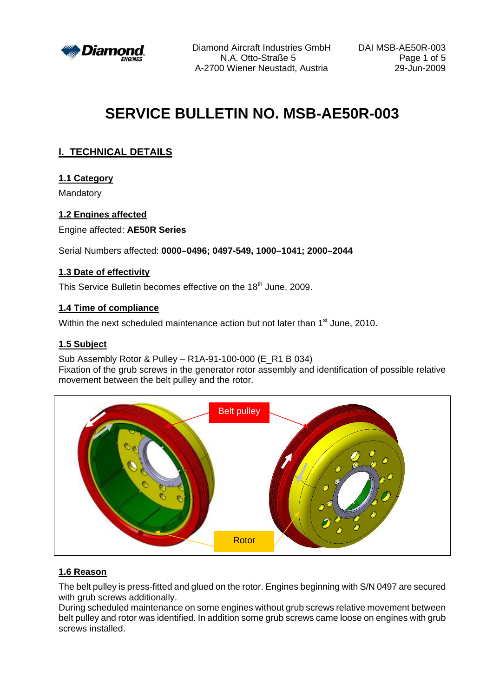

Diamond Aircraft Industries GmbH DAI MSB-AE50R-003 N.A. Otto-Straße 5 Page 1 of 5 A-2700 Wiener Neustadt, Austria

# **SERVICE BULLETIN NO. MSB-AE50R-003**

# **I. TECHNICAL DETAILS**

## **1.1 Category**

Mandatory

## **1.2 Engines affected**

Engine affected: **AE50R Series**

Serial Numbers affected: **0000–0496; 0497-549, 1000–1041; 2000–2044**

## **1.3 Date of effectivity**

This Service Bulletin becomes effective on the 18<sup>th</sup> June, 2009.

## **1.4 Time of compliance**

Within the next scheduled maintenance action but not later than 1<sup>st</sup> June, 2010.

## **1.5 Subject**

Sub Assembly Rotor & Pulley – R1A-91-100-000 (E\_R1 B 034)

Fixation of the grub screws in the generator rotor assembly and identification of possible relative movement between the belt pulley and the rotor.



## **1.6 Reason**

The belt pulley is press-fitted and glued on the rotor. Engines beginning with S/N 0497 are secured with grub screws additionally.

During scheduled maintenance on some engines without grub screws relative movement between belt pulley and rotor was identified. In addition some grub screws came loose on engines with grub screws installed.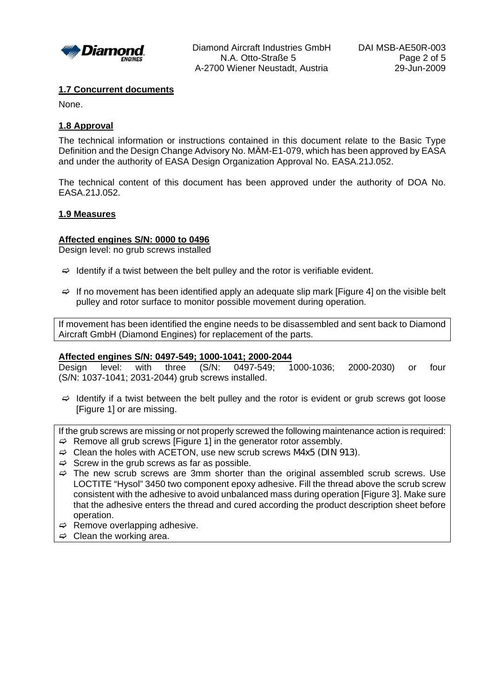

Diamond Aircraft Industries GmbH DAI MSB-AE50R-003 N.A. Otto-Straße 5 Page 2 of 5 A-2700 Wiener Neustadt, Austria 29-Jun-2009

#### **1.7 Concurrent documents**

None.

#### **1.8 Approval**

The technical information or instructions contained in this document relate to the Basic Type Definition and the Design Change Advisory No. MÄM-E1-079, which has been approved by EASA and under the authority of EASA Design Organization Approval No. EASA.21J.052.

The technical content of this document has been approved under the authority of DOA No. EASA.21J.052.

#### **1.9 Measures**

#### **Affected engines S/N: 0000 to 0496**

Design level: no grub screws installed

- $\Rightarrow$  Identify if a twist between the belt pulley and the rotor is verifiable evident.
- $\Rightarrow$  If no movement has been identified apply an adequate slip mark [Figure 4] on the visible belt pulley and rotor surface to monitor possible movement during operation.

If movement has been identified the engine needs to be disassembled and sent back to Diamond Aircraft GmbH (Diamond Engines) for replacement of the parts.

#### **Affected engines S/N: 0497-549; 1000-1041; 2000-2044**

Design level: with three (S/N: 0497-549; 1000-1036; 2000-2030) or four (S/N: 1037-1041; 2031-2044) grub screws installed.

 $\Rightarrow$  Identify if a twist between the belt pulley and the rotor is evident or grub screws got loose [Figure 1] or are missing.

If the grub screws are missing or not properly screwed the following maintenance action is required:  $\Rightarrow$  Remove all grub screws [Figure 1] in the generator rotor assembly.

- 
- $\Rightarrow$  Clean the holes with ACETON, use new scrub screws M4x5 (DIN 913).
- $\Rightarrow$  Screw in the grub screws as far as possible.
- $\Rightarrow$  The new scrub screws are 3mm shorter than the original assembled scrub screws. Use LOCTITE "Hysol" 3450 two component epoxy adhesive. Fill the thread above the scrub screw consistent with the adhesive to avoid unbalanced mass during operation [Figure 3]. Make sure that the adhesive enters the thread and cured according the product description sheet before operation.
- $\Rightarrow$  Remove overlapping adhesive.
- $\Rightarrow$  Clean the working area.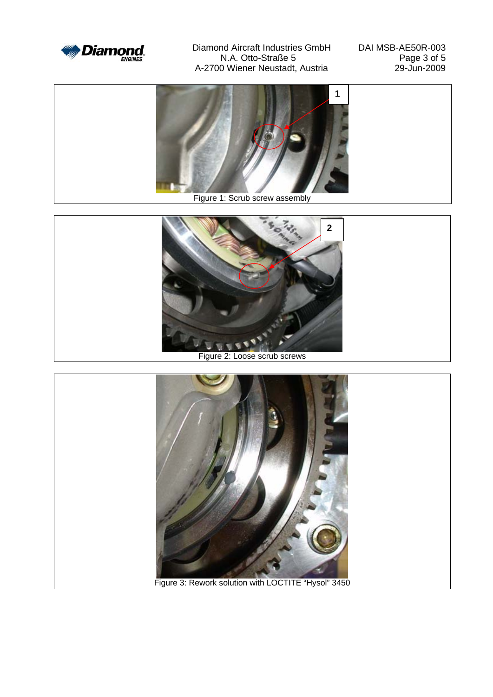

Diamond Aircraft Industries GmbH DAI MSB-AE50R-003<br>N.A. Otto-Straße 5 N.A. Otto-Straße 5<br>
0 Wiener Neustadt, Austria<br>
29-Jun-2009 A-2700 Wiener Neustadt, Austria



Figure 1: Scrub screw assembly



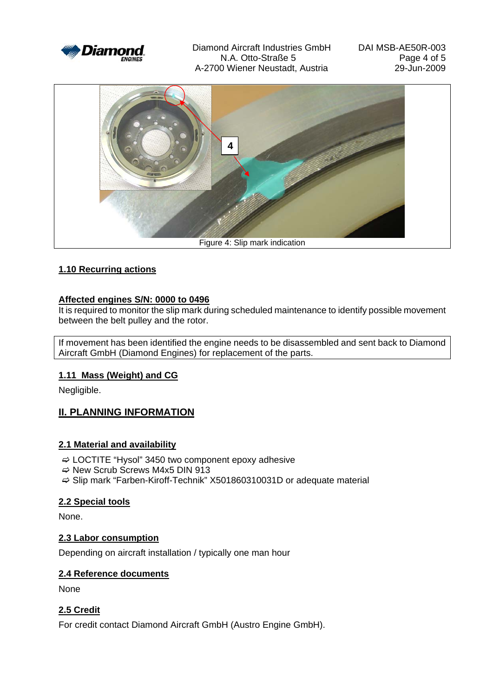

Diamond Aircraft Industries GmbH DAI MSB-AE50R-003 N.A. Otto-Straße 5 Page 4 of 5 A-2700 Wiener Neustadt, Austria 29-Jun-2009



## **1.10 Recurring actions**

## **Affected engines S/N: 0000 to 0496**

It is required to monitor the slip mark during scheduled maintenance to identify possible movement between the belt pulley and the rotor.

If movement has been identified the engine needs to be disassembled and sent back to Diamond Aircraft GmbH (Diamond Engines) for replacement of the parts.

## **1.11 Mass (Weight) and CG**

Negligible.

## **II. PLANNING INFORMATION**

## **2.1 Material and availability**

- $\Rightarrow$  LOCTITE "Hysol" 3450 two component epoxy adhesive
- $\Rightarrow$  New Scrub Screws M4x5 DIN 913
- $\Rightarrow$  Slip mark "Farben-Kiroff-Technik" X501860310031D or adequate material

## **2.2 Special tools**

None.

## **2.3 Labor consumption**

Depending on aircraft installation / typically one man hour

## **2.4 Reference documents**

None

## **2.5 Credit**

For credit contact Diamond Aircraft GmbH (Austro Engine GmbH).